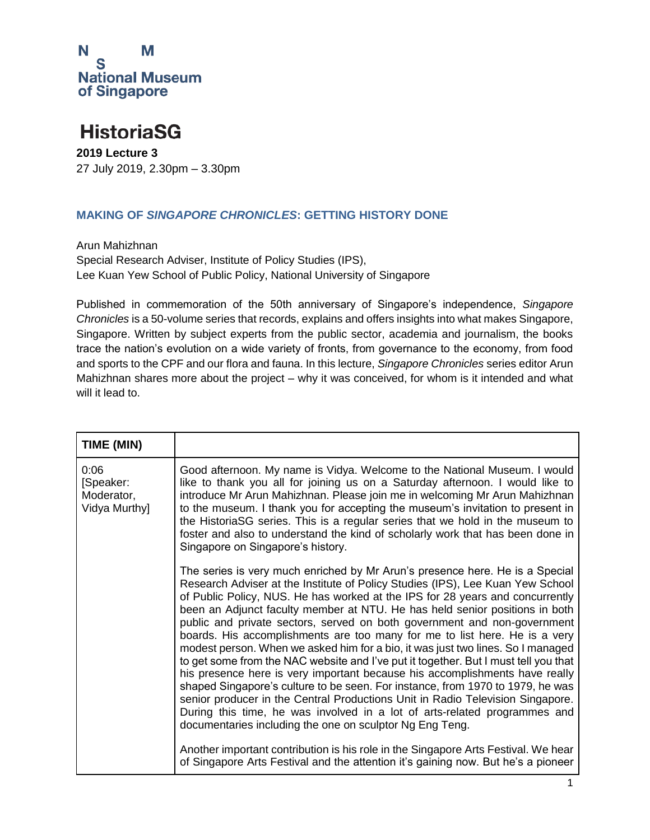

#### **HistoriaSG**

**2019 Lecture 3** 27 July 2019, 2.30pm – 3.30pm

#### **MAKING OF** *SINGAPORE CHRONICLES***: GETTING HISTORY DONE**

Arun Mahizhnan Special Research Adviser, Institute of Policy Studies (IPS), Lee Kuan Yew School of Public Policy, National University of Singapore

Published in commemoration of the 50th anniversary of Singapore's independence, *Singapore Chronicles* is a 50-volume series that records, explains and offers insights into what makes Singapore, Singapore. Written by subject experts from the public sector, academia and journalism, the books trace the nation's evolution on a wide variety of fronts, from governance to the economy, from food and sports to the CPF and our flora and fauna. In this lecture, *Singapore Chronicles* series editor Arun Mahizhnan shares more about the project – why it was conceived, for whom is it intended and what will it lead to.

| TIME (MIN)                                       |                                                                                                                                                                                                                                                                                                                                                                                                                                                                                                                                                                                                                                                                                                                                                                                                                                                                                                                                                                                                                                                                |
|--------------------------------------------------|----------------------------------------------------------------------------------------------------------------------------------------------------------------------------------------------------------------------------------------------------------------------------------------------------------------------------------------------------------------------------------------------------------------------------------------------------------------------------------------------------------------------------------------------------------------------------------------------------------------------------------------------------------------------------------------------------------------------------------------------------------------------------------------------------------------------------------------------------------------------------------------------------------------------------------------------------------------------------------------------------------------------------------------------------------------|
| 0:06<br>[Speaker:<br>Moderator,<br>Vidya Murthy] | Good afternoon. My name is Vidya. Welcome to the National Museum. I would<br>like to thank you all for joining us on a Saturday afternoon. I would like to<br>introduce Mr Arun Mahizhnan. Please join me in welcoming Mr Arun Mahizhnan<br>to the museum. I thank you for accepting the museum's invitation to present in<br>the HistoriaSG series. This is a regular series that we hold in the museum to<br>foster and also to understand the kind of scholarly work that has been done in<br>Singapore on Singapore's history.                                                                                                                                                                                                                                                                                                                                                                                                                                                                                                                             |
|                                                  | The series is very much enriched by Mr Arun's presence here. He is a Special<br>Research Adviser at the Institute of Policy Studies (IPS), Lee Kuan Yew School<br>of Public Policy, NUS. He has worked at the IPS for 28 years and concurrently<br>been an Adjunct faculty member at NTU. He has held senior positions in both<br>public and private sectors, served on both government and non-government<br>boards. His accomplishments are too many for me to list here. He is a very<br>modest person. When we asked him for a bio, it was just two lines. So I managed<br>to get some from the NAC website and I've put it together. But I must tell you that<br>his presence here is very important because his accomplishments have really<br>shaped Singapore's culture to be seen. For instance, from 1970 to 1979, he was<br>senior producer in the Central Productions Unit in Radio Television Singapore.<br>During this time, he was involved in a lot of arts-related programmes and<br>documentaries including the one on sculptor Ng Eng Teng. |
|                                                  | Another important contribution is his role in the Singapore Arts Festival. We hear<br>of Singapore Arts Festival and the attention it's gaining now. But he's a pioneer                                                                                                                                                                                                                                                                                                                                                                                                                                                                                                                                                                                                                                                                                                                                                                                                                                                                                        |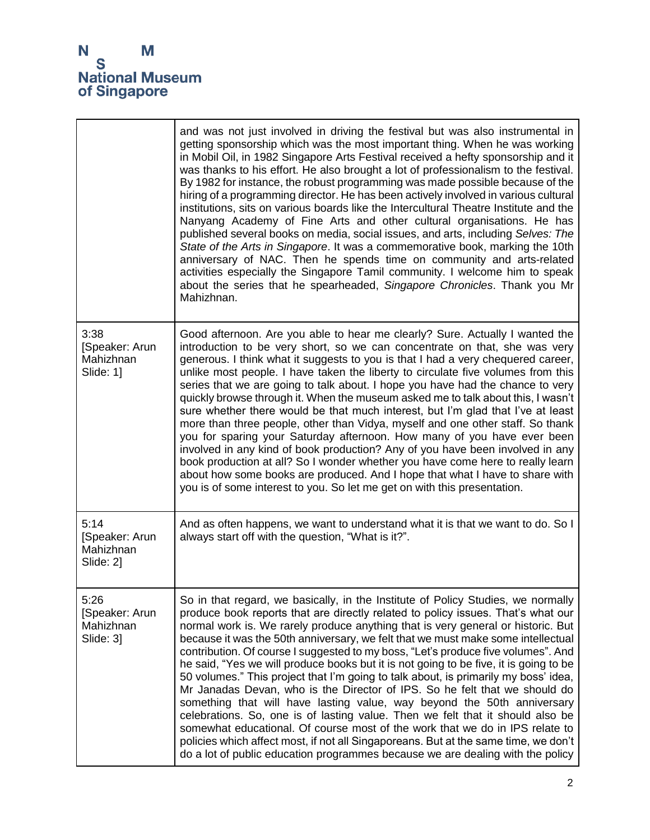|                                                  | and was not just involved in driving the festival but was also instrumental in<br>getting sponsorship which was the most important thing. When he was working<br>in Mobil Oil, in 1982 Singapore Arts Festival received a hefty sponsorship and it<br>was thanks to his effort. He also brought a lot of professionalism to the festival.<br>By 1982 for instance, the robust programming was made possible because of the<br>hiring of a programming director. He has been actively involved in various cultural<br>institutions, sits on various boards like the Intercultural Theatre Institute and the<br>Nanyang Academy of Fine Arts and other cultural organisations. He has<br>published several books on media, social issues, and arts, including Selves: The<br>State of the Arts in Singapore. It was a commemorative book, marking the 10th<br>anniversary of NAC. Then he spends time on community and arts-related<br>activities especially the Singapore Tamil community. I welcome him to speak<br>about the series that he spearheaded, Singapore Chronicles. Thank you Mr<br>Mahizhnan.            |
|--------------------------------------------------|-----------------------------------------------------------------------------------------------------------------------------------------------------------------------------------------------------------------------------------------------------------------------------------------------------------------------------------------------------------------------------------------------------------------------------------------------------------------------------------------------------------------------------------------------------------------------------------------------------------------------------------------------------------------------------------------------------------------------------------------------------------------------------------------------------------------------------------------------------------------------------------------------------------------------------------------------------------------------------------------------------------------------------------------------------------------------------------------------------------------------|
| 3:38<br>[Speaker: Arun<br>Mahizhnan<br>Slide: 1] | Good afternoon. Are you able to hear me clearly? Sure. Actually I wanted the<br>introduction to be very short, so we can concentrate on that, she was very<br>generous. I think what it suggests to you is that I had a very chequered career,<br>unlike most people. I have taken the liberty to circulate five volumes from this<br>series that we are going to talk about. I hope you have had the chance to very<br>quickly browse through it. When the museum asked me to talk about this, I wasn't<br>sure whether there would be that much interest, but I'm glad that I've at least<br>more than three people, other than Vidya, myself and one other staff. So thank<br>you for sparing your Saturday afternoon. How many of you have ever been<br>involved in any kind of book production? Any of you have been involved in any<br>book production at all? So I wonder whether you have come here to really learn<br>about how some books are produced. And I hope that what I have to share with<br>you is of some interest to you. So let me get on with this presentation.                               |
| 5:14<br>[Speaker: Arun<br>Mahizhnan<br>Slide: 2] | And as often happens, we want to understand what it is that we want to do. So I<br>always start off with the question, "What is it?".                                                                                                                                                                                                                                                                                                                                                                                                                                                                                                                                                                                                                                                                                                                                                                                                                                                                                                                                                                                 |
| 5:26<br>[Speaker: Arun<br>Mahizhnan<br>Slide: 3] | So in that regard, we basically, in the Institute of Policy Studies, we normally<br>produce book reports that are directly related to policy issues. That's what our<br>normal work is. We rarely produce anything that is very general or historic. But<br>because it was the 50th anniversary, we felt that we must make some intellectual<br>contribution. Of course I suggested to my boss, "Let's produce five volumes". And<br>he said, "Yes we will produce books but it is not going to be five, it is going to be<br>50 volumes." This project that I'm going to talk about, is primarily my boss' idea,<br>Mr Janadas Devan, who is the Director of IPS. So he felt that we should do<br>something that will have lasting value, way beyond the 50th anniversary<br>celebrations. So, one is of lasting value. Then we felt that it should also be<br>somewhat educational. Of course most of the work that we do in IPS relate to<br>policies which affect most, if not all Singaporeans. But at the same time, we don't<br>do a lot of public education programmes because we are dealing with the policy |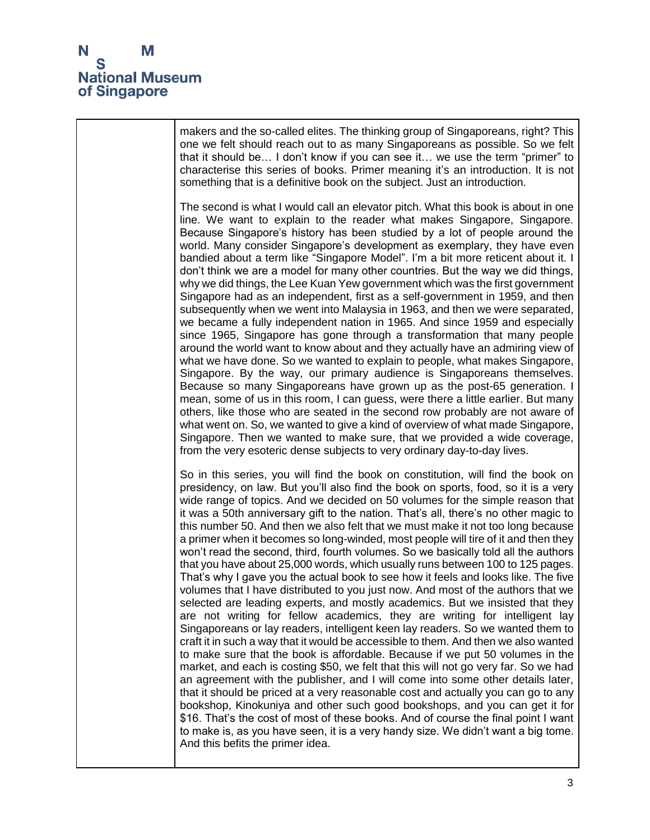

makers and the so-called elites. The thinking group of Singaporeans, right? This one we felt should reach out to as many Singaporeans as possible. So we felt that it should be… I don't know if you can see it… we use the term "primer" to characterise this series of books. Primer meaning it's an introduction. It is not something that is a definitive book on the subject. Just an introduction. The second is what I would call an elevator pitch. What this book is about in one line. We want to explain to the reader what makes Singapore, Singapore. Because Singapore's history has been studied by a lot of people around the world. Many consider Singapore's development as exemplary, they have even bandied about a term like "Singapore Model". I'm a bit more reticent about it. I don't think we are a model for many other countries. But the way we did things, why we did things, the Lee Kuan Yew government which was the first government Singapore had as an independent, first as a self-government in 1959, and then subsequently when we went into Malaysia in 1963, and then we were separated, we became a fully independent nation in 1965. And since 1959 and especially since 1965, Singapore has gone through a transformation that many people around the world want to know about and they actually have an admiring view of what we have done. So we wanted to explain to people, what makes Singapore, Singapore. By the way, our primary audience is Singaporeans themselves. Because so many Singaporeans have grown up as the post-65 generation. I mean, some of us in this room, I can guess, were there a little earlier. But many others, like those who are seated in the second row probably are not aware of what went on. So, we wanted to give a kind of overview of what made Singapore, Singapore. Then we wanted to make sure, that we provided a wide coverage, from the very esoteric dense subjects to very ordinary day-to-day lives. So in this series, you will find the book on constitution, will find the book on presidency, on law. But you'll also find the book on sports, food, so it is a very wide range of topics. And we decided on 50 volumes for the simple reason that it was a 50th anniversary gift to the nation. That's all, there's no other magic to this number 50. And then we also felt that we must make it not too long because a primer when it becomes so long-winded, most people will tire of it and then they won't read the second, third, fourth volumes. So we basically told all the authors that you have about 25,000 words, which usually runs between 100 to 125 pages. That's why I gave you the actual book to see how it feels and looks like. The five volumes that I have distributed to you just now. And most of the authors that we selected are leading experts, and mostly academics. But we insisted that they are not writing for fellow academics, they are writing for intelligent lay Singaporeans or lay readers, intelligent keen lay readers. So we wanted them to craft it in such a way that it would be accessible to them. And then we also wanted to make sure that the book is affordable. Because if we put 50 volumes in the market, and each is costing \$50, we felt that this will not go very far. So we had an agreement with the publisher, and I will come into some other details later, that it should be priced at a very reasonable cost and actually you can go to any bookshop, Kinokuniya and other such good bookshops, and you can get it for \$16. That's the cost of most of these books. And of course the final point I want to make is, as you have seen, it is a very handy size. We didn't want a big tome. And this befits the primer idea.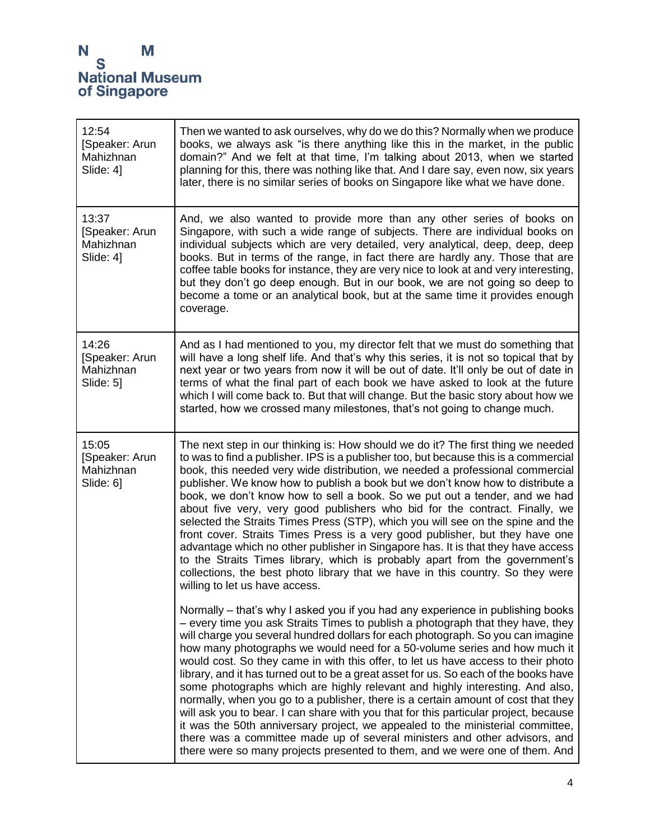| 12:54<br>[Speaker: Arun<br>Mahizhnan<br>Slide: 4] | Then we wanted to ask ourselves, why do we do this? Normally when we produce<br>books, we always ask "is there anything like this in the market, in the public<br>domain?" And we felt at that time, I'm talking about 2013, when we started<br>planning for this, there was nothing like that. And I dare say, even now, six years<br>later, there is no similar series of books on Singapore like what we have done.                                                                                                                                                                                                                                                                                                                                                                                                                                                                                                                                                                                                      |
|---------------------------------------------------|-----------------------------------------------------------------------------------------------------------------------------------------------------------------------------------------------------------------------------------------------------------------------------------------------------------------------------------------------------------------------------------------------------------------------------------------------------------------------------------------------------------------------------------------------------------------------------------------------------------------------------------------------------------------------------------------------------------------------------------------------------------------------------------------------------------------------------------------------------------------------------------------------------------------------------------------------------------------------------------------------------------------------------|
| 13:37<br>[Speaker: Arun<br>Mahizhnan<br>Slide: 41 | And, we also wanted to provide more than any other series of books on<br>Singapore, with such a wide range of subjects. There are individual books on<br>individual subjects which are very detailed, very analytical, deep, deep, deep<br>books. But in terms of the range, in fact there are hardly any. Those that are<br>coffee table books for instance, they are very nice to look at and very interesting,<br>but they don't go deep enough. But in our book, we are not going so deep to<br>become a tome or an analytical book, but at the same time it provides enough<br>coverage.                                                                                                                                                                                                                                                                                                                                                                                                                               |
| 14:26<br>[Speaker: Arun<br>Mahizhnan<br>Slide: 5] | And as I had mentioned to you, my director felt that we must do something that<br>will have a long shelf life. And that's why this series, it is not so topical that by<br>next year or two years from now it will be out of date. It'll only be out of date in<br>terms of what the final part of each book we have asked to look at the future<br>which I will come back to. But that will change. But the basic story about how we<br>started, how we crossed many milestones, that's not going to change much.                                                                                                                                                                                                                                                                                                                                                                                                                                                                                                          |
| 15:05<br>[Speaker: Arun<br>Mahizhnan<br>Slide: 6] | The next step in our thinking is: How should we do it? The first thing we needed<br>to was to find a publisher. IPS is a publisher too, but because this is a commercial<br>book, this needed very wide distribution, we needed a professional commercial<br>publisher. We know how to publish a book but we don't know how to distribute a<br>book, we don't know how to sell a book. So we put out a tender, and we had<br>about five very, very good publishers who bid for the contract. Finally, we<br>selected the Straits Times Press (STP), which you will see on the spine and the<br>front cover. Straits Times Press is a very good publisher, but they have one<br>advantage which no other publisher in Singapore has. It is that they have access<br>to the Straits Times library, which is probably apart from the government's<br>collections, the best photo library that we have in this country. So they were<br>willing to let us have access.                                                          |
|                                                   | Normally – that's why I asked you if you had any experience in publishing books<br>- every time you ask Straits Times to publish a photograph that they have, they<br>will charge you several hundred dollars for each photograph. So you can imagine<br>how many photographs we would need for a 50-volume series and how much it<br>would cost. So they came in with this offer, to let us have access to their photo<br>library, and it has turned out to be a great asset for us. So each of the books have<br>some photographs which are highly relevant and highly interesting. And also,<br>normally, when you go to a publisher, there is a certain amount of cost that they<br>will ask you to bear. I can share with you that for this particular project, because<br>it was the 50th anniversary project, we appealed to the ministerial committee,<br>there was a committee made up of several ministers and other advisors, and<br>there were so many projects presented to them, and we were one of them. And |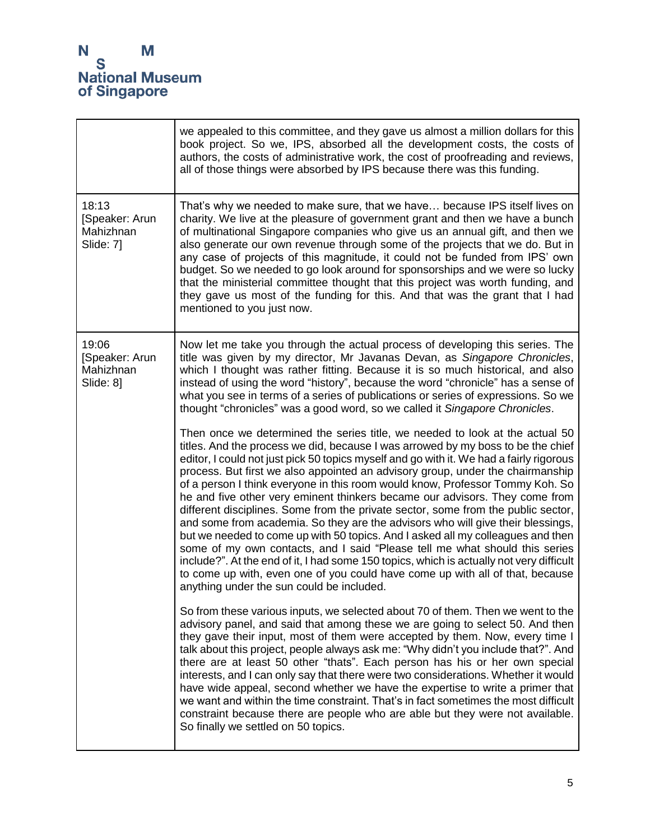$\mathbf{r}$ 

|                                                   | we appealed to this committee, and they gave us almost a million dollars for this<br>book project. So we, IPS, absorbed all the development costs, the costs of<br>authors, the costs of administrative work, the cost of proofreading and reviews,<br>all of those things were absorbed by IPS because there was this funding.                                                                                                                                                                                                                                                                                                                                                                                                                                                                                                                                                                                                                                                                                                                                                   |
|---------------------------------------------------|-----------------------------------------------------------------------------------------------------------------------------------------------------------------------------------------------------------------------------------------------------------------------------------------------------------------------------------------------------------------------------------------------------------------------------------------------------------------------------------------------------------------------------------------------------------------------------------------------------------------------------------------------------------------------------------------------------------------------------------------------------------------------------------------------------------------------------------------------------------------------------------------------------------------------------------------------------------------------------------------------------------------------------------------------------------------------------------|
| 18:13<br>[Speaker: Arun<br>Mahizhnan<br>Slide: 7] | That's why we needed to make sure, that we have… because IPS itself lives on<br>charity. We live at the pleasure of government grant and then we have a bunch<br>of multinational Singapore companies who give us an annual gift, and then we<br>also generate our own revenue through some of the projects that we do. But in<br>any case of projects of this magnitude, it could not be funded from IPS' own<br>budget. So we needed to go look around for sponsorships and we were so lucky<br>that the ministerial committee thought that this project was worth funding, and<br>they gave us most of the funding for this. And that was the grant that I had<br>mentioned to you just now.                                                                                                                                                                                                                                                                                                                                                                                   |
| 19:06<br>[Speaker: Arun<br>Mahizhnan<br>Slide: 81 | Now let me take you through the actual process of developing this series. The<br>title was given by my director, Mr Javanas Devan, as Singapore Chronicles,<br>which I thought was rather fitting. Because it is so much historical, and also<br>instead of using the word "history", because the word "chronicle" has a sense of<br>what you see in terms of a series of publications or series of expressions. So we<br>thought "chronicles" was a good word, so we called it Singapore Chronicles.                                                                                                                                                                                                                                                                                                                                                                                                                                                                                                                                                                             |
|                                                   | Then once we determined the series title, we needed to look at the actual 50<br>titles. And the process we did, because I was arrowed by my boss to be the chief<br>editor, I could not just pick 50 topics myself and go with it. We had a fairly rigorous<br>process. But first we also appointed an advisory group, under the chairmanship<br>of a person I think everyone in this room would know, Professor Tommy Koh. So<br>he and five other very eminent thinkers became our advisors. They come from<br>different disciplines. Some from the private sector, some from the public sector,<br>and some from academia. So they are the advisors who will give their blessings,<br>but we needed to come up with 50 topics. And I asked all my colleagues and then<br>some of my own contacts, and I said "Please tell me what should this series<br>include?". At the end of it, I had some 150 topics, which is actually not very difficult<br>to come up with, even one of you could have come up with all of that, because<br>anything under the sun could be included. |
|                                                   | So from these various inputs, we selected about 70 of them. Then we went to the<br>advisory panel, and said that among these we are going to select 50. And then<br>they gave their input, most of them were accepted by them. Now, every time I<br>talk about this project, people always ask me: "Why didn't you include that?". And<br>there are at least 50 other "thats". Each person has his or her own special<br>interests, and I can only say that there were two considerations. Whether it would<br>have wide appeal, second whether we have the expertise to write a primer that<br>we want and within the time constraint. That's in fact sometimes the most difficult<br>constraint because there are people who are able but they were not available.<br>So finally we settled on 50 topics.                                                                                                                                                                                                                                                                       |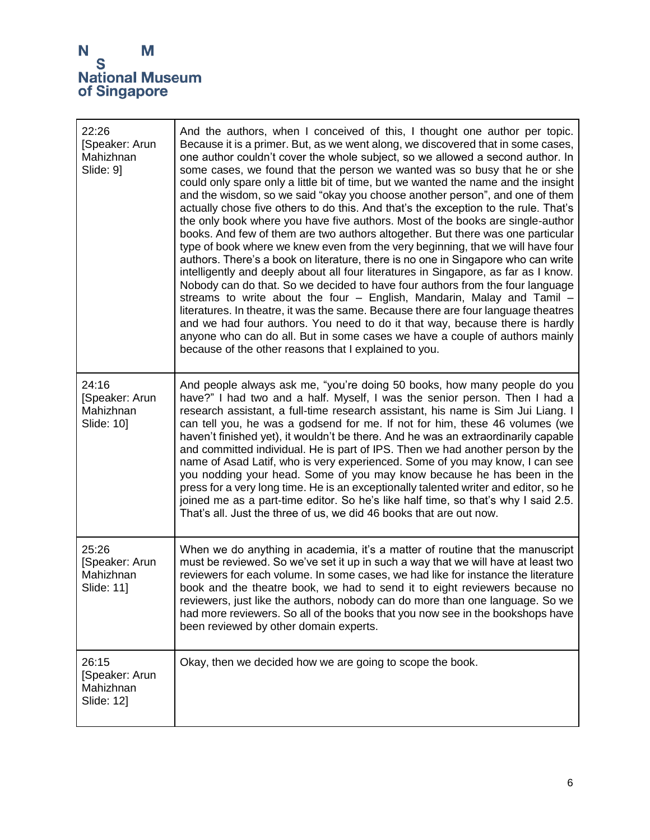| 22:26<br>[Speaker: Arun<br>Mahizhnan<br>Slide: 9]  | And the authors, when I conceived of this, I thought one author per topic.<br>Because it is a primer. But, as we went along, we discovered that in some cases,<br>one author couldn't cover the whole subject, so we allowed a second author. In<br>some cases, we found that the person we wanted was so busy that he or she<br>could only spare only a little bit of time, but we wanted the name and the insight<br>and the wisdom, so we said "okay you choose another person", and one of them<br>actually chose five others to do this. And that's the exception to the rule. That's<br>the only book where you have five authors. Most of the books are single-author<br>books. And few of them are two authors altogether. But there was one particular<br>type of book where we knew even from the very beginning, that we will have four<br>authors. There's a book on literature, there is no one in Singapore who can write<br>intelligently and deeply about all four literatures in Singapore, as far as I know.<br>Nobody can do that. So we decided to have four authors from the four language<br>streams to write about the four - English, Mandarin, Malay and Tamil -<br>literatures. In theatre, it was the same. Because there are four language theatres<br>and we had four authors. You need to do it that way, because there is hardly<br>anyone who can do all. But in some cases we have a couple of authors mainly<br>because of the other reasons that I explained to you. |
|----------------------------------------------------|---------------------------------------------------------------------------------------------------------------------------------------------------------------------------------------------------------------------------------------------------------------------------------------------------------------------------------------------------------------------------------------------------------------------------------------------------------------------------------------------------------------------------------------------------------------------------------------------------------------------------------------------------------------------------------------------------------------------------------------------------------------------------------------------------------------------------------------------------------------------------------------------------------------------------------------------------------------------------------------------------------------------------------------------------------------------------------------------------------------------------------------------------------------------------------------------------------------------------------------------------------------------------------------------------------------------------------------------------------------------------------------------------------------------------------------------------------------------------------------------------------|
| 24:16<br>[Speaker: Arun<br>Mahizhnan<br>Slide: 10] | And people always ask me, "you're doing 50 books, how many people do you<br>have?" I had two and a half. Myself, I was the senior person. Then I had a<br>research assistant, a full-time research assistant, his name is Sim Jui Liang. I<br>can tell you, he was a godsend for me. If not for him, these 46 volumes (we<br>haven't finished yet), it wouldn't be there. And he was an extraordinarily capable<br>and committed individual. He is part of IPS. Then we had another person by the<br>name of Asad Latif, who is very experienced. Some of you may know, I can see<br>you nodding your head. Some of you may know because he has been in the<br>press for a very long time. He is an exceptionally talented writer and editor, so he<br>joined me as a part-time editor. So he's like half time, so that's why I said 2.5.<br>That's all. Just the three of us, we did 46 books that are out now.                                                                                                                                                                                                                                                                                                                                                                                                                                                                                                                                                                                        |
| 25:26<br>[Speaker: Arun<br>Mahizhnan<br>Slide: 11] | When we do anything in academia, it's a matter of routine that the manuscript<br>must be reviewed. So we've set it up in such a way that we will have at least two<br>reviewers for each volume. In some cases, we had like for instance the literature<br>book and the theatre book, we had to send it to eight reviewers because no<br>reviewers, just like the authors, nobody can do more than one language. So we<br>had more reviewers. So all of the books that you now see in the bookshops have<br>been reviewed by other domain experts.                                                                                                                                                                                                                                                                                                                                                                                                                                                                                                                                                                                                                                                                                                                                                                                                                                                                                                                                                      |
| 26:15<br>[Speaker: Arun<br>Mahizhnan<br>Slide: 12] | Okay, then we decided how we are going to scope the book.                                                                                                                                                                                                                                                                                                                                                                                                                                                                                                                                                                                                                                                                                                                                                                                                                                                                                                                                                                                                                                                                                                                                                                                                                                                                                                                                                                                                                                               |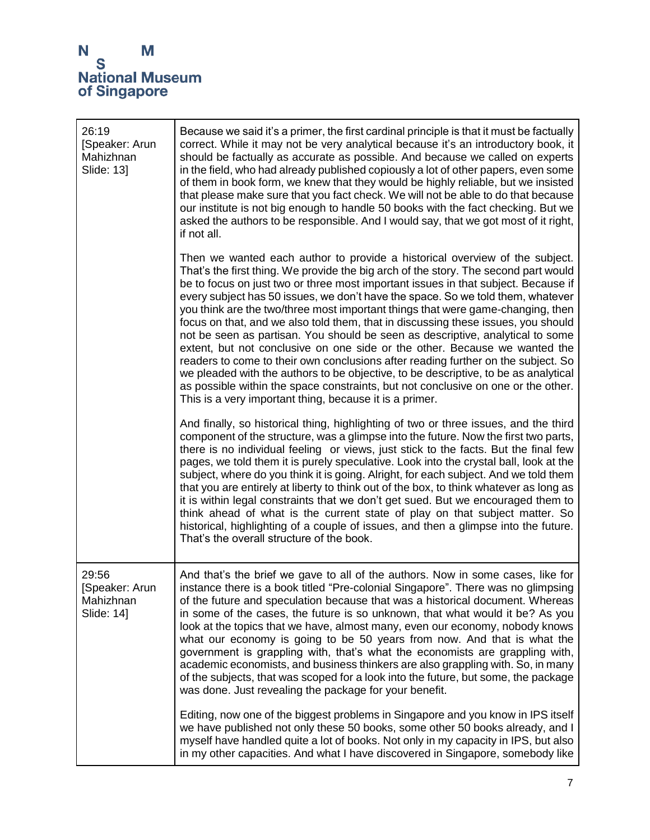| 26:19<br>[Speaker: Arun<br>Mahizhnan<br>Slide: 13] | Because we said it's a primer, the first cardinal principle is that it must be factually<br>correct. While it may not be very analytical because it's an introductory book, it<br>should be factually as accurate as possible. And because we called on experts<br>in the field, who had already published copiously a lot of other papers, even some<br>of them in book form, we knew that they would be highly reliable, but we insisted<br>that please make sure that you fact check. We will not be able to do that because<br>our institute is not big enough to handle 50 books with the fact checking. But we<br>asked the authors to be responsible. And I would say, that we got most of it right,<br>if not all.                                                                                                                                                                                                                                                                                      |
|----------------------------------------------------|-----------------------------------------------------------------------------------------------------------------------------------------------------------------------------------------------------------------------------------------------------------------------------------------------------------------------------------------------------------------------------------------------------------------------------------------------------------------------------------------------------------------------------------------------------------------------------------------------------------------------------------------------------------------------------------------------------------------------------------------------------------------------------------------------------------------------------------------------------------------------------------------------------------------------------------------------------------------------------------------------------------------|
|                                                    | Then we wanted each author to provide a historical overview of the subject.<br>That's the first thing. We provide the big arch of the story. The second part would<br>be to focus on just two or three most important issues in that subject. Because if<br>every subject has 50 issues, we don't have the space. So we told them, whatever<br>you think are the two/three most important things that were game-changing, then<br>focus on that, and we also told them, that in discussing these issues, you should<br>not be seen as partisan. You should be seen as descriptive, analytical to some<br>extent, but not conclusive on one side or the other. Because we wanted the<br>readers to come to their own conclusions after reading further on the subject. So<br>we pleaded with the authors to be objective, to be descriptive, to be as analytical<br>as possible within the space constraints, but not conclusive on one or the other.<br>This is a very important thing, because it is a primer. |
|                                                    | And finally, so historical thing, highlighting of two or three issues, and the third<br>component of the structure, was a glimpse into the future. Now the first two parts,<br>there is no individual feeling or views, just stick to the facts. But the final few<br>pages, we told them it is purely speculative. Look into the crystal ball, look at the<br>subject, where do you think it is going. Alright, for each subject. And we told them<br>that you are entirely at liberty to think out of the box, to think whatever as long as<br>it is within legal constraints that we don't get sued. But we encouraged them to<br>think ahead of what is the current state of play on that subject matter. So<br>historical, highlighting of a couple of issues, and then a glimpse into the future.<br>That's the overall structure of the book.                                                                                                                                                            |
| 29:56<br>[Speaker: Arun<br>Mahizhnan<br>Slide: 14] | And that's the brief we gave to all of the authors. Now in some cases, like for<br>instance there is a book titled "Pre-colonial Singapore". There was no glimpsing<br>of the future and speculation because that was a historical document. Whereas<br>in some of the cases, the future is so unknown, that what would it be? As you<br>look at the topics that we have, almost many, even our economy, nobody knows<br>what our economy is going to be 50 years from now. And that is what the<br>government is grappling with, that's what the economists are grappling with,<br>academic economists, and business thinkers are also grappling with. So, in many<br>of the subjects, that was scoped for a look into the future, but some, the package<br>was done. Just revealing the package for your benefit.                                                                                                                                                                                             |
|                                                    | Editing, now one of the biggest problems in Singapore and you know in IPS itself<br>we have published not only these 50 books, some other 50 books already, and I<br>myself have handled quite a lot of books. Not only in my capacity in IPS, but also<br>in my other capacities. And what I have discovered in Singapore, somebody like                                                                                                                                                                                                                                                                                                                                                                                                                                                                                                                                                                                                                                                                       |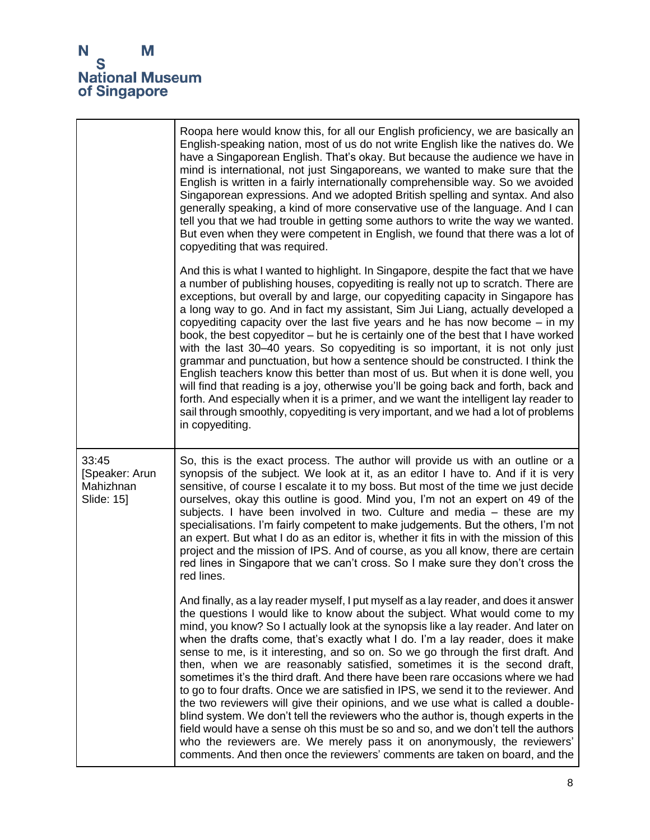|                                                    | Roopa here would know this, for all our English proficiency, we are basically an<br>English-speaking nation, most of us do not write English like the natives do. We<br>have a Singaporean English. That's okay. But because the audience we have in<br>mind is international, not just Singaporeans, we wanted to make sure that the<br>English is written in a fairly internationally comprehensible way. So we avoided<br>Singaporean expressions. And we adopted British spelling and syntax. And also<br>generally speaking, a kind of more conservative use of the language. And I can<br>tell you that we had trouble in getting some authors to write the way we wanted.<br>But even when they were competent in English, we found that there was a lot of<br>copyediting that was required.                                                                                                                                                                                                                                                                                                            |
|----------------------------------------------------|-----------------------------------------------------------------------------------------------------------------------------------------------------------------------------------------------------------------------------------------------------------------------------------------------------------------------------------------------------------------------------------------------------------------------------------------------------------------------------------------------------------------------------------------------------------------------------------------------------------------------------------------------------------------------------------------------------------------------------------------------------------------------------------------------------------------------------------------------------------------------------------------------------------------------------------------------------------------------------------------------------------------------------------------------------------------------------------------------------------------|
|                                                    | And this is what I wanted to highlight. In Singapore, despite the fact that we have<br>a number of publishing houses, copyediting is really not up to scratch. There are<br>exceptions, but overall by and large, our copyediting capacity in Singapore has<br>a long way to go. And in fact my assistant, Sim Jui Liang, actually developed a<br>copyediting capacity over the last five years and he has now become $-$ in my<br>book, the best copyeditor - but he is certainly one of the best that I have worked<br>with the last 30-40 years. So copyediting is so important, it is not only just<br>grammar and punctuation, but how a sentence should be constructed. I think the<br>English teachers know this better than most of us. But when it is done well, you<br>will find that reading is a joy, otherwise you'll be going back and forth, back and<br>forth. And especially when it is a primer, and we want the intelligent lay reader to<br>sail through smoothly, copyediting is very important, and we had a lot of problems<br>in copyediting.                                           |
| 33:45<br>[Speaker: Arun<br>Mahizhnan<br>Slide: 15] | So, this is the exact process. The author will provide us with an outline or a<br>synopsis of the subject. We look at it, as an editor I have to. And if it is very<br>sensitive, of course I escalate it to my boss. But most of the time we just decide<br>ourselves, okay this outline is good. Mind you, I'm not an expert on 49 of the<br>subjects. I have been involved in two. Culture and media - these are my<br>specialisations. I'm fairly competent to make judgements. But the others, I'm not<br>an expert. But what I do as an editor is, whether it fits in with the mission of this<br>project and the mission of IPS. And of course, as you all know, there are certain<br>red lines in Singapore that we can't cross. So I make sure they don't cross the<br>red lines.                                                                                                                                                                                                                                                                                                                      |
|                                                    | And finally, as a lay reader myself, I put myself as a lay reader, and does it answer<br>the questions I would like to know about the subject. What would come to my<br>mind, you know? So I actually look at the synopsis like a lay reader. And later on<br>when the drafts come, that's exactly what I do. I'm a lay reader, does it make<br>sense to me, is it interesting, and so on. So we go through the first draft. And<br>then, when we are reasonably satisfied, sometimes it is the second draft,<br>sometimes it's the third draft. And there have been rare occasions where we had<br>to go to four drafts. Once we are satisfied in IPS, we send it to the reviewer. And<br>the two reviewers will give their opinions, and we use what is called a double-<br>blind system. We don't tell the reviewers who the author is, though experts in the<br>field would have a sense oh this must be so and so, and we don't tell the authors<br>who the reviewers are. We merely pass it on anonymously, the reviewers'<br>comments. And then once the reviewers' comments are taken on board, and the |

1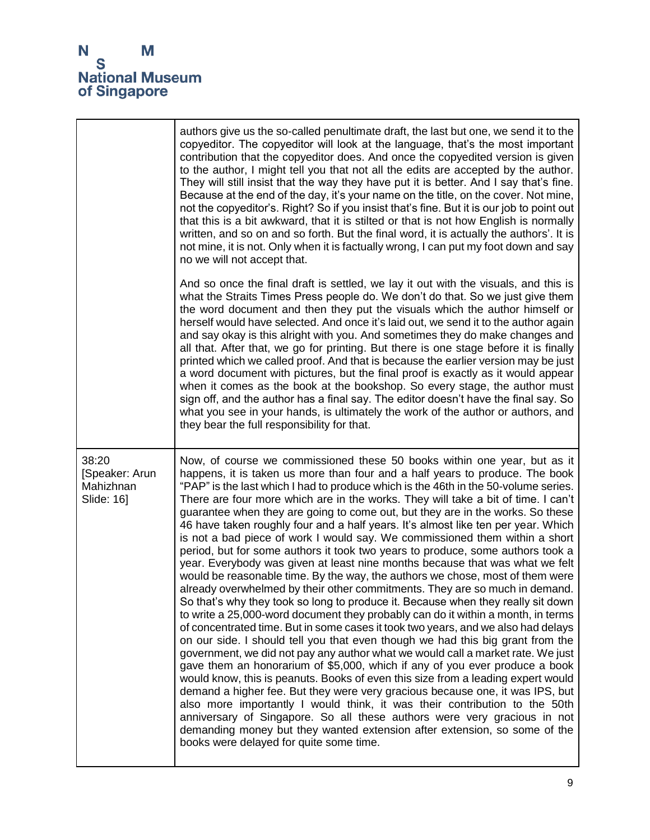|                                                    | authors give us the so-called penultimate draft, the last but one, we send it to the<br>copyeditor. The copyeditor will look at the language, that's the most important<br>contribution that the copyeditor does. And once the copyedited version is given<br>to the author, I might tell you that not all the edits are accepted by the author.<br>They will still insist that the way they have put it is better. And I say that's fine.<br>Because at the end of the day, it's your name on the title, on the cover. Not mine,<br>not the copyeditor's. Right? So if you insist that's fine. But it is our job to point out<br>that this is a bit awkward, that it is stilted or that is not how English is normally<br>written, and so on and so forth. But the final word, it is actually the authors'. It is<br>not mine, it is not. Only when it is factually wrong, I can put my foot down and say<br>no we will not accept that.                                                                                                                                                                                                                                                                                                                                                                                                                                                                                                                                                                                                                                                                                                                                                                                                                                                                                                                                                            |
|----------------------------------------------------|------------------------------------------------------------------------------------------------------------------------------------------------------------------------------------------------------------------------------------------------------------------------------------------------------------------------------------------------------------------------------------------------------------------------------------------------------------------------------------------------------------------------------------------------------------------------------------------------------------------------------------------------------------------------------------------------------------------------------------------------------------------------------------------------------------------------------------------------------------------------------------------------------------------------------------------------------------------------------------------------------------------------------------------------------------------------------------------------------------------------------------------------------------------------------------------------------------------------------------------------------------------------------------------------------------------------------------------------------------------------------------------------------------------------------------------------------------------------------------------------------------------------------------------------------------------------------------------------------------------------------------------------------------------------------------------------------------------------------------------------------------------------------------------------------------------------------------------------------------------------------------------------------|
|                                                    | And so once the final draft is settled, we lay it out with the visuals, and this is<br>what the Straits Times Press people do. We don't do that. So we just give them<br>the word document and then they put the visuals which the author himself or<br>herself would have selected. And once it's laid out, we send it to the author again<br>and say okay is this alright with you. And sometimes they do make changes and<br>all that. After that, we go for printing. But there is one stage before it is finally<br>printed which we called proof. And that is because the earlier version may be just<br>a word document with pictures, but the final proof is exactly as it would appear<br>when it comes as the book at the bookshop. So every stage, the author must<br>sign off, and the author has a final say. The editor doesn't have the final say. So<br>what you see in your hands, is ultimately the work of the author or authors, and<br>they bear the full responsibility for that.                                                                                                                                                                                                                                                                                                                                                                                                                                                                                                                                                                                                                                                                                                                                                                                                                                                                                              |
| 38:20<br>[Speaker: Arun<br>Mahizhnan<br>Slide: 16] | Now, of course we commissioned these 50 books within one year, but as it<br>happens, it is taken us more than four and a half years to produce. The book<br>"PAP" is the last which I had to produce which is the 46th in the 50-volume series.<br>There are four more which are in the works. They will take a bit of time. I can't<br>guarantee when they are going to come out, but they are in the works. So these<br>46 have taken roughly four and a half years. It's almost like ten per year. Which<br>is not a bad piece of work I would say. We commissioned them within a short<br>period, but for some authors it took two years to produce, some authors took a<br>year. Everybody was given at least nine months because that was what we felt<br>would be reasonable time. By the way, the authors we chose, most of them were<br>already overwhelmed by their other commitments. They are so much in demand.<br>So that's why they took so long to produce it. Because when they really sit down<br>to write a 25,000-word document they probably can do it within a month, in terms<br>of concentrated time. But in some cases it took two years, and we also had delays<br>on our side. I should tell you that even though we had this big grant from the<br>government, we did not pay any author what we would call a market rate. We just<br>gave them an honorarium of \$5,000, which if any of you ever produce a book<br>would know, this is peanuts. Books of even this size from a leading expert would<br>demand a higher fee. But they were very gracious because one, it was IPS, but<br>also more importantly I would think, it was their contribution to the 50th<br>anniversary of Singapore. So all these authors were very gracious in not<br>demanding money but they wanted extension after extension, so some of the<br>books were delayed for quite some time. |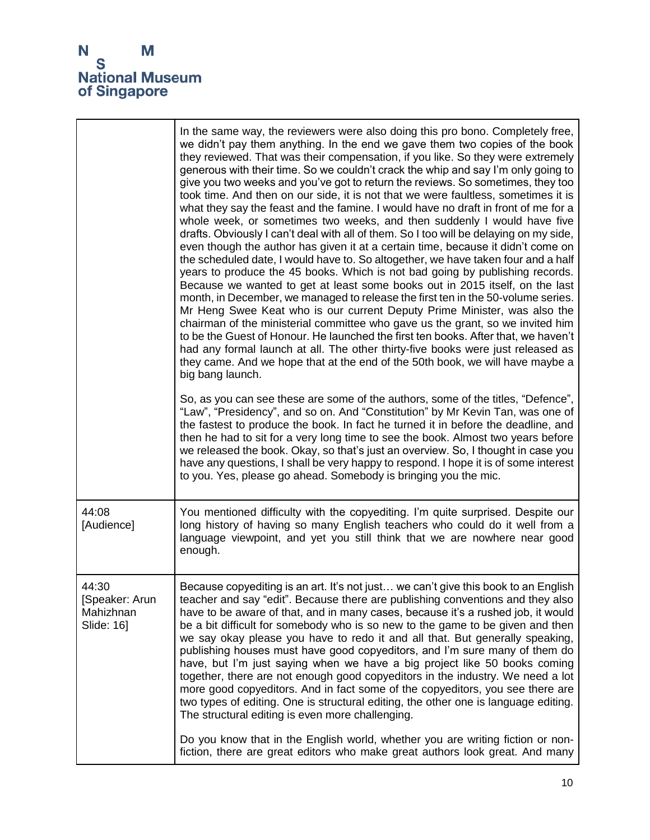

|                                                    | In the same way, the reviewers were also doing this pro bono. Completely free,<br>we didn't pay them anything. In the end we gave them two copies of the book<br>they reviewed. That was their compensation, if you like. So they were extremely<br>generous with their time. So we couldn't crack the whip and say I'm only going to<br>give you two weeks and you've got to return the reviews. So sometimes, they too<br>took time. And then on our side, it is not that we were faultless, sometimes it is<br>what they say the feast and the famine. I would have no draft in front of me for a<br>whole week, or sometimes two weeks, and then suddenly I would have five<br>drafts. Obviously I can't deal with all of them. So I too will be delaying on my side,<br>even though the author has given it at a certain time, because it didn't come on<br>the scheduled date, I would have to. So altogether, we have taken four and a half<br>years to produce the 45 books. Which is not bad going by publishing records.<br>Because we wanted to get at least some books out in 2015 itself, on the last<br>month, in December, we managed to release the first ten in the 50-volume series.<br>Mr Heng Swee Keat who is our current Deputy Prime Minister, was also the<br>chairman of the ministerial committee who gave us the grant, so we invited him<br>to be the Guest of Honour. He launched the first ten books. After that, we haven't<br>had any formal launch at all. The other thirty-five books were just released as<br>they came. And we hope that at the end of the 50th book, we will have maybe a<br>big bang launch. |
|----------------------------------------------------|----------------------------------------------------------------------------------------------------------------------------------------------------------------------------------------------------------------------------------------------------------------------------------------------------------------------------------------------------------------------------------------------------------------------------------------------------------------------------------------------------------------------------------------------------------------------------------------------------------------------------------------------------------------------------------------------------------------------------------------------------------------------------------------------------------------------------------------------------------------------------------------------------------------------------------------------------------------------------------------------------------------------------------------------------------------------------------------------------------------------------------------------------------------------------------------------------------------------------------------------------------------------------------------------------------------------------------------------------------------------------------------------------------------------------------------------------------------------------------------------------------------------------------------------------------------------------------------------------------------------------------------------------|
|                                                    | So, as you can see these are some of the authors, some of the titles, "Defence",<br>"Law", "Presidency", and so on. And "Constitution" by Mr Kevin Tan, was one of<br>the fastest to produce the book. In fact he turned it in before the deadline, and<br>then he had to sit for a very long time to see the book. Almost two years before<br>we released the book. Okay, so that's just an overview. So, I thought in case you<br>have any questions, I shall be very happy to respond. I hope it is of some interest<br>to you. Yes, please go ahead. Somebody is bringing you the mic.                                                                                                                                                                                                                                                                                                                                                                                                                                                                                                                                                                                                                                                                                                                                                                                                                                                                                                                                                                                                                                                         |
| 44:08<br>[Audience]                                | You mentioned difficulty with the copyediting. I'm quite surprised. Despite our<br>long history of having so many English teachers who could do it well from a<br>language viewpoint, and yet you still think that we are nowhere near good<br>enough.                                                                                                                                                                                                                                                                                                                                                                                                                                                                                                                                                                                                                                                                                                                                                                                                                                                                                                                                                                                                                                                                                                                                                                                                                                                                                                                                                                                             |
| 44:30<br>[Speaker: Arun<br>Mahizhnan<br>Slide: 16] | Because copyediting is an art. It's not just we can't give this book to an English<br>teacher and say "edit". Because there are publishing conventions and they also<br>have to be aware of that, and in many cases, because it's a rushed job, it would<br>be a bit difficult for somebody who is so new to the game to be given and then<br>we say okay please you have to redo it and all that. But generally speaking,<br>publishing houses must have good copyeditors, and I'm sure many of them do<br>have, but I'm just saying when we have a big project like 50 books coming<br>together, there are not enough good copyeditors in the industry. We need a lot<br>more good copyeditors. And in fact some of the copyeditors, you see there are<br>two types of editing. One is structural editing, the other one is language editing.<br>The structural editing is even more challenging.                                                                                                                                                                                                                                                                                                                                                                                                                                                                                                                                                                                                                                                                                                                                                |
|                                                    | Do you know that in the English world, whether you are writing fiction or non-<br>fiction, there are great editors who make great authors look great. And many                                                                                                                                                                                                                                                                                                                                                                                                                                                                                                                                                                                                                                                                                                                                                                                                                                                                                                                                                                                                                                                                                                                                                                                                                                                                                                                                                                                                                                                                                     |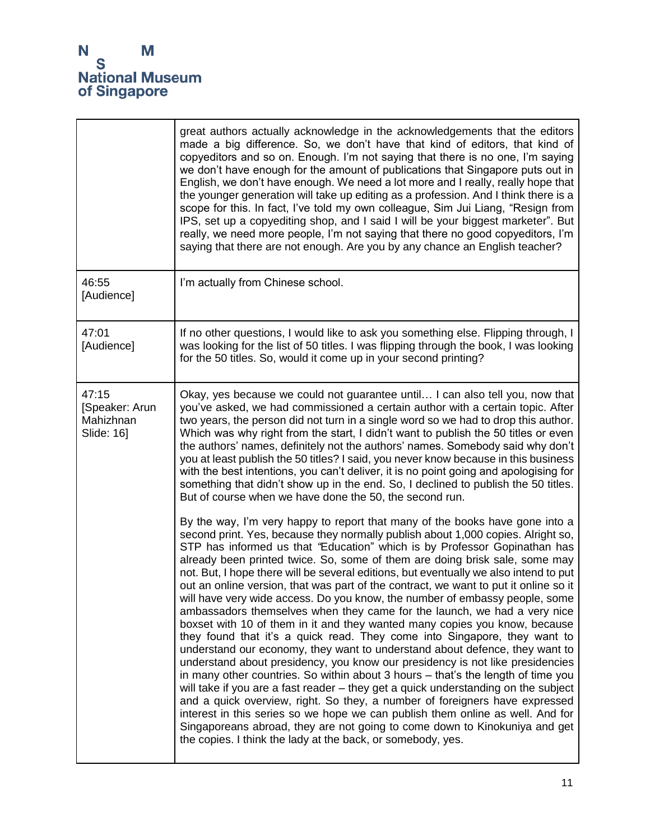|                                                    | great authors actually acknowledge in the acknowledgements that the editors<br>made a big difference. So, we don't have that kind of editors, that kind of<br>copyeditors and so on. Enough. I'm not saying that there is no one, I'm saying<br>we don't have enough for the amount of publications that Singapore puts out in<br>English, we don't have enough. We need a lot more and I really, really hope that<br>the younger generation will take up editing as a profession. And I think there is a<br>scope for this. In fact, I've told my own colleague, Sim Jui Liang, "Resign from<br>IPS, set up a copyediting shop, and I said I will be your biggest marketer". But<br>really, we need more people, I'm not saying that there no good copyeditors, I'm<br>saying that there are not enough. Are you by any chance an English teacher?                                                                                                                                                                                                                                                                                                                                                                                                                                                                                                                                                                                                                                         |
|----------------------------------------------------|---------------------------------------------------------------------------------------------------------------------------------------------------------------------------------------------------------------------------------------------------------------------------------------------------------------------------------------------------------------------------------------------------------------------------------------------------------------------------------------------------------------------------------------------------------------------------------------------------------------------------------------------------------------------------------------------------------------------------------------------------------------------------------------------------------------------------------------------------------------------------------------------------------------------------------------------------------------------------------------------------------------------------------------------------------------------------------------------------------------------------------------------------------------------------------------------------------------------------------------------------------------------------------------------------------------------------------------------------------------------------------------------------------------------------------------------------------------------------------------------|
| 46:55<br>[Audience]                                | I'm actually from Chinese school.                                                                                                                                                                                                                                                                                                                                                                                                                                                                                                                                                                                                                                                                                                                                                                                                                                                                                                                                                                                                                                                                                                                                                                                                                                                                                                                                                                                                                                                           |
| 47:01<br>[Audience]                                | If no other questions, I would like to ask you something else. Flipping through, I<br>was looking for the list of 50 titles. I was flipping through the book, I was looking<br>for the 50 titles. So, would it come up in your second printing?                                                                                                                                                                                                                                                                                                                                                                                                                                                                                                                                                                                                                                                                                                                                                                                                                                                                                                                                                                                                                                                                                                                                                                                                                                             |
| 47:15<br>[Speaker: Arun<br>Mahizhnan<br>Slide: 16] | Okay, yes because we could not guarantee until I can also tell you, now that<br>you've asked, we had commissioned a certain author with a certain topic. After<br>two years, the person did not turn in a single word so we had to drop this author.<br>Which was why right from the start, I didn't want to publish the 50 titles or even<br>the authors' names, definitely not the authors' names. Somebody said why don't<br>you at least publish the 50 titles? I said, you never know because in this business<br>with the best intentions, you can't deliver, it is no point going and apologising for<br>something that didn't show up in the end. So, I declined to publish the 50 titles.<br>But of course when we have done the 50, the second run.                                                                                                                                                                                                                                                                                                                                                                                                                                                                                                                                                                                                                                                                                                                               |
|                                                    | By the way, I'm very happy to report that many of the books have gone into a<br>second print. Yes, because they normally publish about 1,000 copies. Alright so,<br>STP has informed us that "Education" which is by Professor Gopinathan has<br>already been printed twice. So, some of them are doing brisk sale, some may<br>not. But, I hope there will be several editions, but eventually we also intend to put<br>out an online version, that was part of the contract, we want to put it online so it<br>will have very wide access. Do you know, the number of embassy people, some<br>ambassadors themselves when they came for the launch, we had a very nice<br>boxset with 10 of them in it and they wanted many copies you know, because<br>they found that it's a quick read. They come into Singapore, they want to<br>understand our economy, they want to understand about defence, they want to<br>understand about presidency, you know our presidency is not like presidencies<br>in many other countries. So within about 3 hours - that's the length of time you<br>will take if you are a fast reader - they get a quick understanding on the subject<br>and a quick overview, right. So they, a number of foreigners have expressed<br>interest in this series so we hope we can publish them online as well. And for<br>Singaporeans abroad, they are not going to come down to Kinokuniya and get<br>the copies. I think the lady at the back, or somebody, yes. |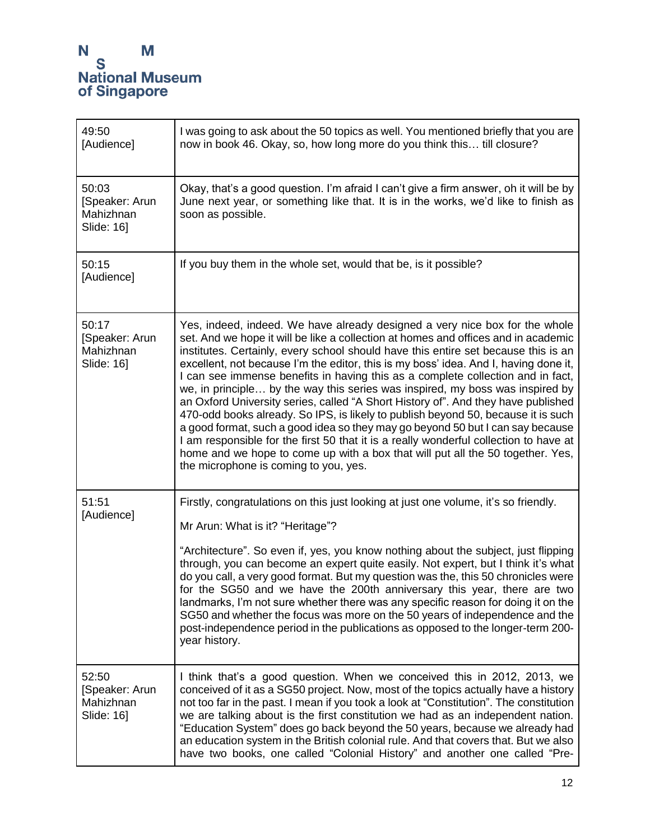| 49:50<br>[Audience]                                | I was going to ask about the 50 topics as well. You mentioned briefly that you are<br>now in book 46. Okay, so, how long more do you think this till closure?                                                                                                                                                                                                                                                                                                                                                                                                                                                                                                                                                                                                                                                                                                                                                                                                                                       |
|----------------------------------------------------|-----------------------------------------------------------------------------------------------------------------------------------------------------------------------------------------------------------------------------------------------------------------------------------------------------------------------------------------------------------------------------------------------------------------------------------------------------------------------------------------------------------------------------------------------------------------------------------------------------------------------------------------------------------------------------------------------------------------------------------------------------------------------------------------------------------------------------------------------------------------------------------------------------------------------------------------------------------------------------------------------------|
| 50:03<br>[Speaker: Arun<br>Mahizhnan<br>Slide: 16] | Okay, that's a good question. I'm afraid I can't give a firm answer, oh it will be by<br>June next year, or something like that. It is in the works, we'd like to finish as<br>soon as possible.                                                                                                                                                                                                                                                                                                                                                                                                                                                                                                                                                                                                                                                                                                                                                                                                    |
| 50:15<br>[Audience]                                | If you buy them in the whole set, would that be, is it possible?                                                                                                                                                                                                                                                                                                                                                                                                                                                                                                                                                                                                                                                                                                                                                                                                                                                                                                                                    |
| 50:17<br>[Speaker: Arun<br>Mahizhnan<br>Slide: 16] | Yes, indeed, indeed. We have already designed a very nice box for the whole<br>set. And we hope it will be like a collection at homes and offices and in academic<br>institutes. Certainly, every school should have this entire set because this is an<br>excellent, not because I'm the editor, this is my boss' idea. And I, having done it,<br>I can see immense benefits in having this as a complete collection and in fact,<br>we, in principle by the way this series was inspired, my boss was inspired by<br>an Oxford University series, called "A Short History of". And they have published<br>470-odd books already. So IPS, is likely to publish beyond 50, because it is such<br>a good format, such a good idea so they may go beyond 50 but I can say because<br>I am responsible for the first 50 that it is a really wonderful collection to have at<br>home and we hope to come up with a box that will put all the 50 together. Yes,<br>the microphone is coming to you, yes. |
| 51:51<br>[Audience]                                | Firstly, congratulations on this just looking at just one volume, it's so friendly.<br>Mr Arun: What is it? "Heritage"?<br>"Architecture". So even if, yes, you know nothing about the subject, just flipping<br>through, you can become an expert quite easily. Not expert, but I think it's what<br>do you call, a very good format. But my question was the, this 50 chronicles were<br>for the SG50 and we have the 200th anniversary this year, there are two<br>landmarks, I'm not sure whether there was any specific reason for doing it on the<br>SG50 and whether the focus was more on the 50 years of independence and the<br>post-independence period in the publications as opposed to the longer-term 200-<br>year history.                                                                                                                                                                                                                                                          |
| 52:50<br>[Speaker: Arun<br>Mahizhnan<br>Slide: 16] | I think that's a good question. When we conceived this in 2012, 2013, we<br>conceived of it as a SG50 project. Now, most of the topics actually have a history<br>not too far in the past. I mean if you took a look at "Constitution". The constitution<br>we are talking about is the first constitution we had as an independent nation.<br>"Education System" does go back beyond the 50 years, because we already had<br>an education system in the British colonial rule. And that covers that. But we also<br>have two books, one called "Colonial History" and another one called "Pre-                                                                                                                                                                                                                                                                                                                                                                                                     |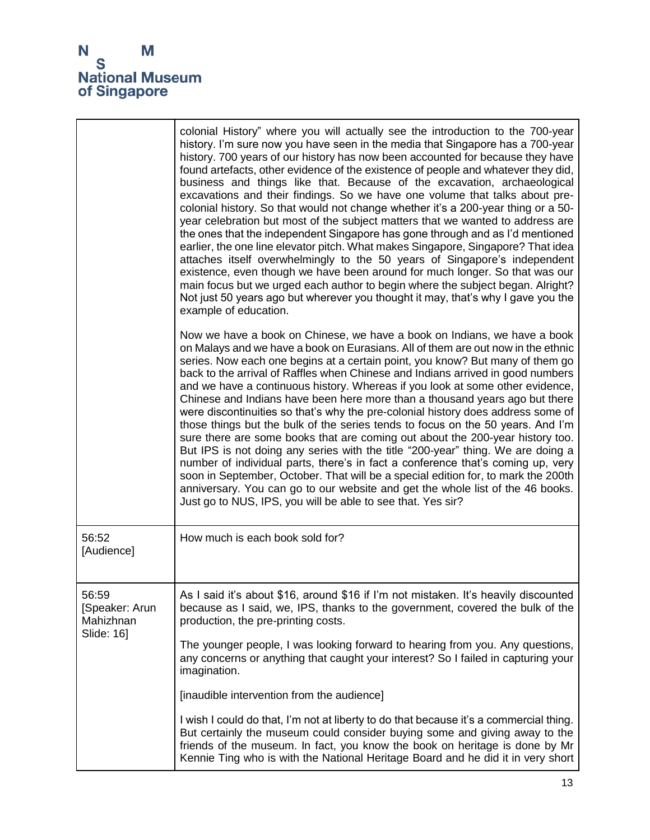|                                                    | colonial History" where you will actually see the introduction to the 700-year<br>history. I'm sure now you have seen in the media that Singapore has a 700-year<br>history. 700 years of our history has now been accounted for because they have<br>found artefacts, other evidence of the existence of people and whatever they did,<br>business and things like that. Because of the excavation, archaeological<br>excavations and their findings. So we have one volume that talks about pre-<br>colonial history. So that would not change whether it's a 200-year thing or a 50-<br>year celebration but most of the subject matters that we wanted to address are<br>the ones that the independent Singapore has gone through and as I'd mentioned<br>earlier, the one line elevator pitch. What makes Singapore, Singapore? That idea<br>attaches itself overwhelmingly to the 50 years of Singapore's independent<br>existence, even though we have been around for much longer. So that was our<br>main focus but we urged each author to begin where the subject began. Alright?<br>Not just 50 years ago but wherever you thought it may, that's why I gave you the<br>example of education. |
|----------------------------------------------------|-----------------------------------------------------------------------------------------------------------------------------------------------------------------------------------------------------------------------------------------------------------------------------------------------------------------------------------------------------------------------------------------------------------------------------------------------------------------------------------------------------------------------------------------------------------------------------------------------------------------------------------------------------------------------------------------------------------------------------------------------------------------------------------------------------------------------------------------------------------------------------------------------------------------------------------------------------------------------------------------------------------------------------------------------------------------------------------------------------------------------------------------------------------------------------------------------------------|
|                                                    | Now we have a book on Chinese, we have a book on Indians, we have a book<br>on Malays and we have a book on Eurasians. All of them are out now in the ethnic<br>series. Now each one begins at a certain point, you know? But many of them go<br>back to the arrival of Raffles when Chinese and Indians arrived in good numbers<br>and we have a continuous history. Whereas if you look at some other evidence,<br>Chinese and Indians have been here more than a thousand years ago but there<br>were discontinuities so that's why the pre-colonial history does address some of<br>those things but the bulk of the series tends to focus on the 50 years. And I'm<br>sure there are some books that are coming out about the 200-year history too.<br>But IPS is not doing any series with the title "200-year" thing. We are doing a<br>number of individual parts, there's in fact a conference that's coming up, very<br>soon in September, October. That will be a special edition for, to mark the 200th<br>anniversary. You can go to our website and get the whole list of the 46 books.<br>Just go to NUS, IPS, you will be able to see that. Yes sir?                                      |
| 56:52<br>[Audience]                                | How much is each book sold for?                                                                                                                                                                                                                                                                                                                                                                                                                                                                                                                                                                                                                                                                                                                                                                                                                                                                                                                                                                                                                                                                                                                                                                           |
| 56:59<br>[Speaker: Arun<br>Mahizhnan<br>Slide: 16] | As I said it's about \$16, around \$16 if I'm not mistaken. It's heavily discounted<br>because as I said, we, IPS, thanks to the government, covered the bulk of the<br>production, the pre-printing costs.                                                                                                                                                                                                                                                                                                                                                                                                                                                                                                                                                                                                                                                                                                                                                                                                                                                                                                                                                                                               |
|                                                    | The younger people, I was looking forward to hearing from you. Any questions,<br>any concerns or anything that caught your interest? So I failed in capturing your<br>imagination.                                                                                                                                                                                                                                                                                                                                                                                                                                                                                                                                                                                                                                                                                                                                                                                                                                                                                                                                                                                                                        |
|                                                    | [inaudible intervention from the audience]                                                                                                                                                                                                                                                                                                                                                                                                                                                                                                                                                                                                                                                                                                                                                                                                                                                                                                                                                                                                                                                                                                                                                                |
|                                                    | I wish I could do that, I'm not at liberty to do that because it's a commercial thing.<br>But certainly the museum could consider buying some and giving away to the<br>friends of the museum. In fact, you know the book on heritage is done by Mr<br>Kennie Ting who is with the National Heritage Board and he did it in very short                                                                                                                                                                                                                                                                                                                                                                                                                                                                                                                                                                                                                                                                                                                                                                                                                                                                    |